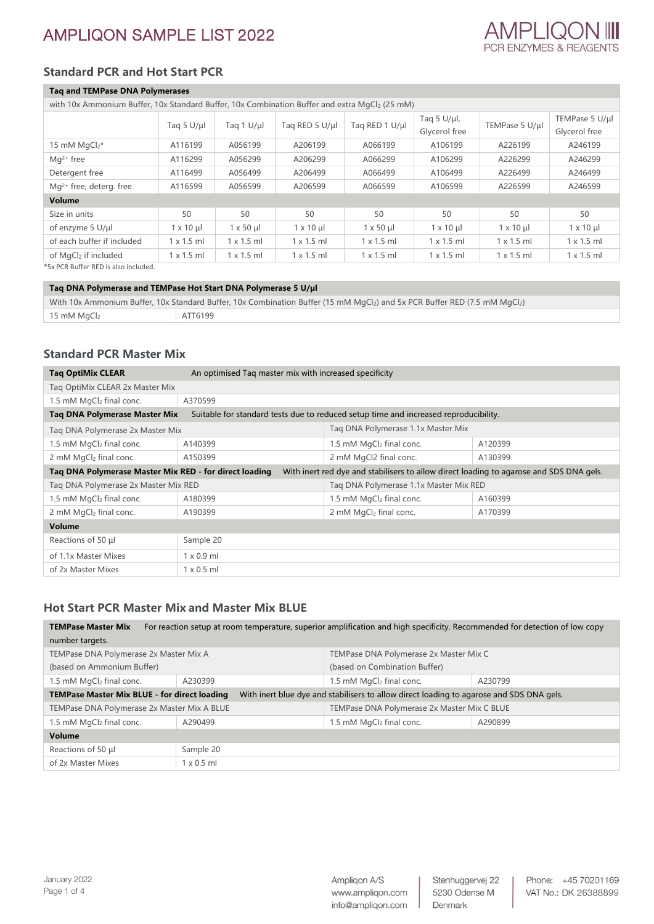# **Standard PCR and Hot Start PCR**

### **Taq and TEMPase DNA Polymerases**

| with 10x Ammonium Buffer, 10x Standard Buffer, 10x Combination Buffer and extra MgCl2 (25 mM) |                   |                   |                   |                   |                                    |                   |                                 |
|-----------------------------------------------------------------------------------------------|-------------------|-------------------|-------------------|-------------------|------------------------------------|-------------------|---------------------------------|
|                                                                                               | Tag 5 U/µl        | Tag $1 U/\mu$     | Tag RED 5 U/µl    | Tag RED 1 U/µl    | Tag 5 $U/\mu l$ ,<br>Glycerol free | TEMPase 5 U/µl    | TEMPase 5 U/µl<br>Glycerol free |
| 15 mM $MqCl2*$                                                                                | A116199           | A056199           | A206199           | A066199           | A106199                            | A226199           | A246199                         |
| $Mq^{2+}$ free                                                                                | A116299           | A056299           | A206299           | A066299           | A106299                            | A226299           | A246299                         |
| Detergent free                                                                                | A116499           | A056499           | A206499           | A066499           | A106499                            | A226499           | A246499                         |
| $Mq^{2+}$ free, deterg. free                                                                  | A116599           | A056599           | A206599           | A066599           | A106599                            | A226599           | A246599                         |
| <b>Volume</b>                                                                                 |                   |                   |                   |                   |                                    |                   |                                 |
| Size in units                                                                                 | 50                | 50                | 50                | 50                | 50                                 | 50                | 50                              |
| of enzyme 5 U/µl                                                                              | $1 \times 10 \mu$ | $1 \times 50$ µ   | $1 \times 10 \mu$ | $1 \times 50 \mu$ | $1 \times 10 \mu$                  | $1 \times 10 \mu$ | $1 \times 10 \mu$               |
| of each buffer if included                                                                    | $1 \times 1.5$ ml | $1 \times 1.5$ ml | $1 \times 1.5$ ml | $1 \times 1.5$ ml | $1 \times 1.5$ ml                  | $1 \times 1.5$ ml | $1 \times 1.5$ ml               |
| of MgCl2 if included                                                                          | $1 \times 1.5$ ml | $1 \times 1.5$ ml | $1 \times 1.5$ ml | $1 \times 1.5$ ml | $1 \times 1.5$ ml                  | $1 \times 1.5$ ml | $1 \times 1.5$ ml               |

\*5x PCR Buffer RED is also included.

#### **Taq DNA Polymerase and TEMPase Hot Start DNA Polymerase 5 U/µl**

| With 10x Ammonium Buffer, 10x Standard Buffer, 10x Combination Buffer (15 mM MgCl <sub>2</sub> ) and 5x PCR Buffer RED (7.5 mM MgCl <sub>2</sub> ) |                            |         |
|----------------------------------------------------------------------------------------------------------------------------------------------------|----------------------------|---------|
|                                                                                                                                                    | $+15$ mM MgCl <sub>2</sub> | ATT6199 |

## **Standard PCR Master Mix**

| <b>Tag OptiMix CLEAR</b>                               | An optimised Tag master mix with increased specificity |                                                                                         |         |
|--------------------------------------------------------|--------------------------------------------------------|-----------------------------------------------------------------------------------------|---------|
| Tag OptiMix CLEAR 2x Master Mix                        |                                                        |                                                                                         |         |
| 1.5 mM MgCl2 final conc.                               | A370599                                                |                                                                                         |         |
| Tag DNA Polymerase Master Mix                          |                                                        | Suitable for standard tests due to reduced setup time and increased reproducibility.    |         |
| Tag DNA Polymerase 2x Master Mix                       |                                                        | Tag DNA Polymerase 1.1x Master Mix                                                      |         |
| 1.5 mM $MqCl2$ final conc.                             | A140399                                                | 1.5 mM $MqCl2$ final conc.                                                              | A120399 |
| 2 mM MgCl2 final conc.                                 | A150399                                                | 2 mM MgCl2 final conc.                                                                  | A130399 |
| Tag DNA Polymerase Master Mix RED - for direct loading |                                                        | With inert red dye and stabilisers to allow direct loading to agarose and SDS DNA gels. |         |
| Tag DNA Polymerase 2x Master Mix RED                   |                                                        | Tag DNA Polymerase 1.1x Master Mix RED                                                  |         |
| 1.5 mM MgCl2 final conc.                               | A180399                                                | 1.5 mM MgCl2 final conc.                                                                | A160399 |
| 2 mM MgCl2 final conc.                                 | A190399                                                | 2 mM MgCl <sub>2</sub> final conc.                                                      | A170399 |
| Volume                                                 |                                                        |                                                                                         |         |
| Reactions of 50 µl                                     | Sample 20                                              |                                                                                         |         |
| of 1.1x Master Mixes                                   | $1 \times 0.9$ ml                                      |                                                                                         |         |
| of 2x Master Mixes                                     | $1 \times 0.5$ ml                                      |                                                                                         |         |

## **Hot Start PCR Master Mix and Master Mix BLUE**

| For reaction setup at room temperature, superior amplification and high specificity. Recommended for detection of low copy<br><b>TEMPase Master Mix</b> |                                                                                                                                          |                               |                                             |  |  |
|---------------------------------------------------------------------------------------------------------------------------------------------------------|------------------------------------------------------------------------------------------------------------------------------------------|-------------------------------|---------------------------------------------|--|--|
| number targets.                                                                                                                                         |                                                                                                                                          |                               |                                             |  |  |
| TEMPase DNA Polymerase 2x Master Mix A                                                                                                                  |                                                                                                                                          |                               | TEMPase DNA Polymerase 2x Master Mix C      |  |  |
| (based on Ammonium Buffer)                                                                                                                              |                                                                                                                                          | (based on Combination Buffer) |                                             |  |  |
| 1.5 mM MgCl <sub>2</sub> final conc.                                                                                                                    | A230399                                                                                                                                  | 1.5 mM $MgCl2$ final conc.    | A230799                                     |  |  |
|                                                                                                                                                         | With inert blue dye and stabilisers to allow direct loading to agarose and SDS DNA gels.<br>TEMPase Master Mix BLUE - for direct loading |                               |                                             |  |  |
| TEMPase DNA Polymerase 2x Master Mix A BLUE                                                                                                             |                                                                                                                                          |                               | TEMPase DNA Polymerase 2x Master Mix C BLUE |  |  |
| 1.5 mM MgCl2 final conc.                                                                                                                                | A290499                                                                                                                                  | 1.5 mM $MgCl2$ final conc.    | A290899                                     |  |  |
| Volume                                                                                                                                                  |                                                                                                                                          |                               |                                             |  |  |
| Reactions of 50 µl                                                                                                                                      | Sample 20                                                                                                                                |                               |                                             |  |  |
| of 2x Master Mixes                                                                                                                                      | $1 \times 0.5$ ml                                                                                                                        |                               |                                             |  |  |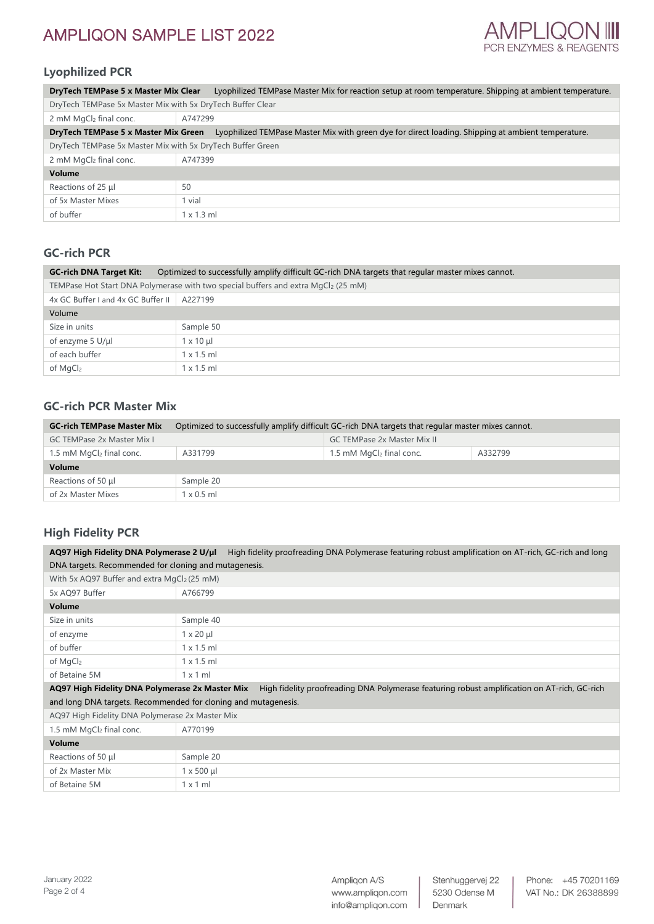

# **Lyophilized PCR**

| <b>DryTech TEMPase 5 x Master Mix Clear</b>                |                   | Lyophilized TEMPase Master Mix for reaction setup at room temperature. Shipping at ambient temperature. |
|------------------------------------------------------------|-------------------|---------------------------------------------------------------------------------------------------------|
| DryTech TEMPase 5x Master Mix with 5x DryTech Buffer Clear |                   |                                                                                                         |
| 2 mM MgCl2 final conc.                                     | A747299           |                                                                                                         |
| DryTech TEMPase 5 x Master Mix Green                       |                   | Lyophilized TEMPase Master Mix with green dye for direct loading. Shipping at ambient temperature.      |
| DryTech TEMPase 5x Master Mix with 5x DryTech Buffer Green |                   |                                                                                                         |
| 2 mM MgCl <sub>2</sub> final conc.                         | A747399           |                                                                                                         |
| Volume                                                     |                   |                                                                                                         |
| Reactions of 25 µl                                         | 50                |                                                                                                         |
| of 5x Master Mixes                                         | 1 vial            |                                                                                                         |
| of buffer                                                  | $1 \times 1.3$ ml |                                                                                                         |

# **GC-rich PCR**

| <b>GC-rich DNA Target Kit:</b>     | Optimized to successfully amplify difficult GC-rich DNA targets that regular master mixes cannot. |  |  |  |
|------------------------------------|---------------------------------------------------------------------------------------------------|--|--|--|
|                                    | TEMPase Hot Start DNA Polymerase with two special buffers and extra MgCl <sub>2</sub> (25 mM)     |  |  |  |
| 4x GC Buffer I and 4x GC Buffer II | A227199                                                                                           |  |  |  |
| Volume                             |                                                                                                   |  |  |  |
| Size in units                      | Sample 50                                                                                         |  |  |  |
| of enzyme 5 U/µl                   | $1 \times 10 \mu$                                                                                 |  |  |  |
| of each buffer                     | $1 \times 1.5$ ml                                                                                 |  |  |  |
| of MgCl <sub>2</sub>               | $1 \times 1.5$ ml                                                                                 |  |  |  |

## **GC-rich PCR Master Mix**

| <b>GC-rich TEMPase Master Mix</b>    | Optimized to successfully amplify difficult GC-rich DNA targets that regular master mixes cannot. |                                      |         |  |
|--------------------------------------|---------------------------------------------------------------------------------------------------|--------------------------------------|---------|--|
| <b>GC TEMPase 2x Master Mix L</b>    |                                                                                                   | <b>GC TEMPase 2x Master Mix II</b>   |         |  |
| 1.5 mM MgCl <sub>2</sub> final conc. | A331799                                                                                           | 1.5 mM MgCl <sub>2</sub> final conc. | A332799 |  |
| Volume                               |                                                                                                   |                                      |         |  |
| Reactions of 50 µl                   | Sample 20                                                                                         |                                      |         |  |
| of 2x Master Mixes                   | $1 \times 0.5$ ml                                                                                 |                                      |         |  |

# **High Fidelity PCR**

**AQ97 High Fidelity DNA Polymerase 2 U/µl** High fidelity proofreading DNA Polymerase featuring robust amplification on AT-rich, GC-rich and long DNA targets. Recommended for cloning and mutagenesis.

|                                                                                                                 | With 5x AQ97 Buffer and extra MgCl2 (25 mM) |  |  |
|-----------------------------------------------------------------------------------------------------------------|---------------------------------------------|--|--|
| 5x AQ97 Buffer                                                                                                  | A766799                                     |  |  |
| Volume                                                                                                          |                                             |  |  |
| Size in units                                                                                                   | Sample 40                                   |  |  |
| of enzyme                                                                                                       | $1 \times 20 \mu$                           |  |  |
| of buffer                                                                                                       | $1 \times 1.5$ ml                           |  |  |
| of MgCl2                                                                                                        | $1 \times 1.5$ ml                           |  |  |
| of Betaine 5M                                                                                                   | $1 \times 1$ m                              |  |  |
| A OUT HIS EST PARA BALLO CONTRACTORIAL AND CARGO CONTRACTOR DIA BALLO CONTRACTOR CONTRACTOR OF ATESIC CONTRACTO |                                             |  |  |

**AQ97 High Fidelity DNA Polymerase 2x Master Mix** High fidelity proofreading DNA Polymerase featuring robust amplification on AT-rich, GC-rich and long DNA targets. Recommended for cloning and mutagenesis.

AQ97 High Fidelity DNA Polymerase 2x Master Mix

|               | 1.5 mM MgCl <sub>2</sub> final conc. | A770199          |  |
|---------------|--------------------------------------|------------------|--|
| <b>Volume</b> |                                      |                  |  |
|               | Reactions of 50 µl                   | Sample 20        |  |
|               | of 2x Master Mix                     | $1 \times 500$ µ |  |
|               | of Betaine 5M                        | $1 \times 1$ ml  |  |

 $\overline{\phantom{a}}$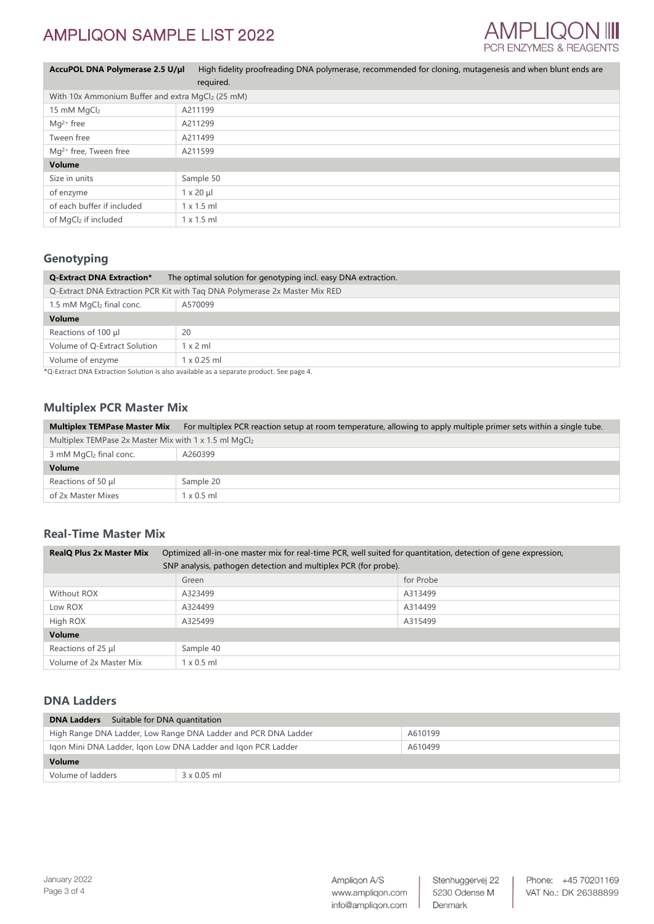

| AccuPOL DNA Polymerase 2.5 U/µl                              | High fidelity proofreading DNA polymerase, recommended for cloning, mutagenesis and when blunt ends are |
|--------------------------------------------------------------|---------------------------------------------------------------------------------------------------------|
|                                                              | required.                                                                                               |
| With 10x Ammonium Buffer and extra MgCl <sub>2</sub> (25 mM) |                                                                                                         |
| 15 mM MgCl2                                                  | A211199                                                                                                 |
| $Ma^{2+}$ free                                               | A211299                                                                                                 |
| Tween free                                                   | A211499                                                                                                 |
| $Mq^{2+}$ free, Tween free                                   | A211599                                                                                                 |
| Volume                                                       |                                                                                                         |
| Size in units                                                | Sample 50                                                                                               |
| of enzyme                                                    | $1 \times 20 \mu$                                                                                       |
| of each buffer if included                                   | $1 \times 1.5$ ml                                                                                       |
| of MgCl2 if included                                         | $1 \times 1.5$ ml                                                                                       |

# **Genotyping**

| <b>Q-Extract DNA Extraction*</b> | The optimal solution for genotyping incl. easy DNA extraction.             |  |  |
|----------------------------------|----------------------------------------------------------------------------|--|--|
|                                  | Q-Extract DNA Extraction PCR Kit with Tag DNA Polymerase 2x Master Mix RED |  |  |
| 1.5 mM MgCl2 final conc.         | A570099                                                                    |  |  |
| Volume                           |                                                                            |  |  |
| Reactions of 100 µl              | 20                                                                         |  |  |
| Volume of Q-Extract Solution     | $1 \times 2$ ml                                                            |  |  |
| Volume of enzyme                 | $1 \times 0.25$ ml                                                         |  |  |

\*Q-Extract DNA Extraction Solution is also available as a separate product. See page 4.

## **Multiplex PCR Master Mix**

| <b>Multiplex TEMPase Master Mix</b>                   | For multiplex PCR reaction setup at room temperature, allowing to apply multiple primer sets within a single tube. |
|-------------------------------------------------------|--------------------------------------------------------------------------------------------------------------------|
| Multiplex TEMPase 2x Master Mix with 1 x 1.5 ml MgCl2 |                                                                                                                    |
| 3 mM MgCl <sub>2</sub> final conc.                    | A260399                                                                                                            |
| Volume                                                |                                                                                                                    |
| Reactions of 50 µl                                    | Sample 20                                                                                                          |
| of 2x Master Mixes                                    | $1 \times 0.5$ ml                                                                                                  |

## **Real-Time Master Mix**

| <b>RealQ Plus 2x Master Mix</b>                                 |                   | Optimized all-in-one master mix for real-time PCR, well suited for quantitation, detection of gene expression, |
|-----------------------------------------------------------------|-------------------|----------------------------------------------------------------------------------------------------------------|
| SNP analysis, pathogen detection and multiplex PCR (for probe). |                   |                                                                                                                |
|                                                                 | Green             | for Probe                                                                                                      |
| Without ROX                                                     | A323499           | A313499                                                                                                        |
| Low ROX                                                         | A324499           | A314499                                                                                                        |
| High ROX                                                        | A325499           | A315499                                                                                                        |
| Volume                                                          |                   |                                                                                                                |
| Reactions of 25 µl                                              | Sample 40         |                                                                                                                |
| Volume of 2x Master Mix                                         | $1 \times 0.5$ ml |                                                                                                                |

### **DNA Ladders**

| <b>DNA Ladders</b> Suitable for DNA quantitation                          |                    |         |
|---------------------------------------------------------------------------|--------------------|---------|
| High Range DNA Ladder, Low Range DNA Ladder and PCR DNA Ladder<br>A610199 |                    |         |
| Igon Mini DNA Ladder, Igon Low DNA Ladder and Igon PCR Ladder             |                    | A610499 |
| Volume                                                                    |                    |         |
| Volume of ladders                                                         | $3 \times 0.05$ ml |         |

Stenhuggervej 22 5230 Odense M